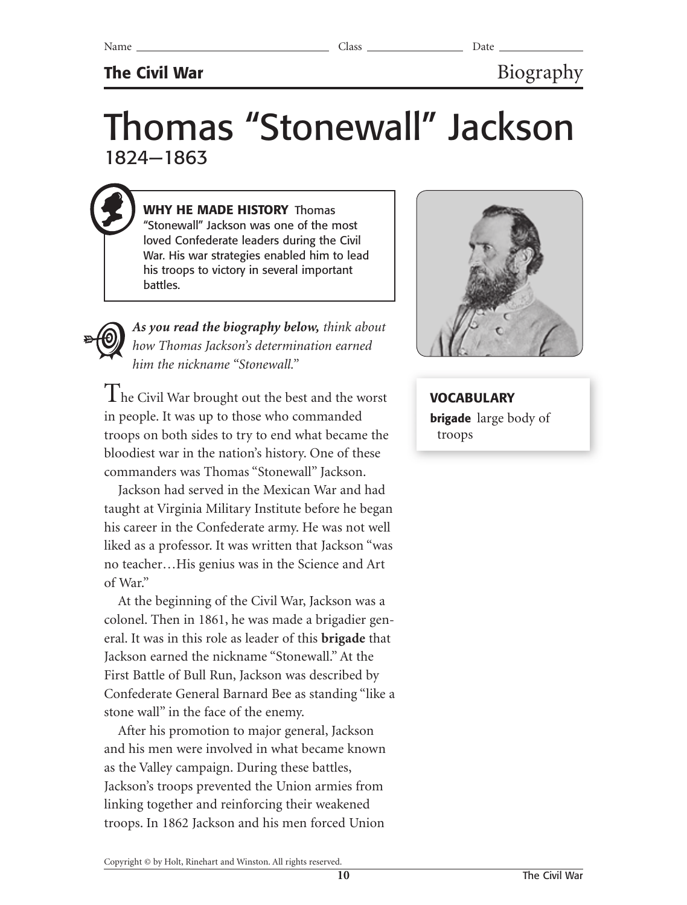## **The Civil War** Biography

# Thomas "Stonewall" Jackson 1824—1863

**WHY HE MADE HISTORY** Thomas "Stonewall" Jackson was one of the most loved Confederate leaders during the Civil War. His war strategies enabled him to lead his troops to victory in several important battles.

*As you read the biography below, think about how Thomas Jackson's determination earned him the nickname "Stonewall."*

The Civil War brought out the best and the worst in people. It was up to those who commanded troops on both sides to try to end what became the bloodiest war in the nation's history. One of these commanders was Thomas "Stonewall" Jackson.

Jackson had served in the Mexican War and had taught at Virginia Military Institute before he began his career in the Confederate army. He was not well liked as a professor. It was written that Jackson "was no teacher…His genius was in the Science and Art of War."

At the beginning of the Civil War, Jackson was a colonel. Then in 1861, he was made a brigadier general. It was in this role as leader of this **brigade** that Jackson earned the nickname "Stonewall." At the First Battle of Bull Run, Jackson was described by Confederate General Barnard Bee as standing "like a stone wall" in the face of the enemy.

After his promotion to major general, Jackson and his men were involved in what became known as the Valley campaign. During these battles, Jackson's troops prevented the Union armies from linking together and reinforcing their weakened troops. In 1862 Jackson and his men forced Union



**VOCABULARY brigade** large body of troops

Copyright © by Holt, Rinehart and Winston. All rights reserved.